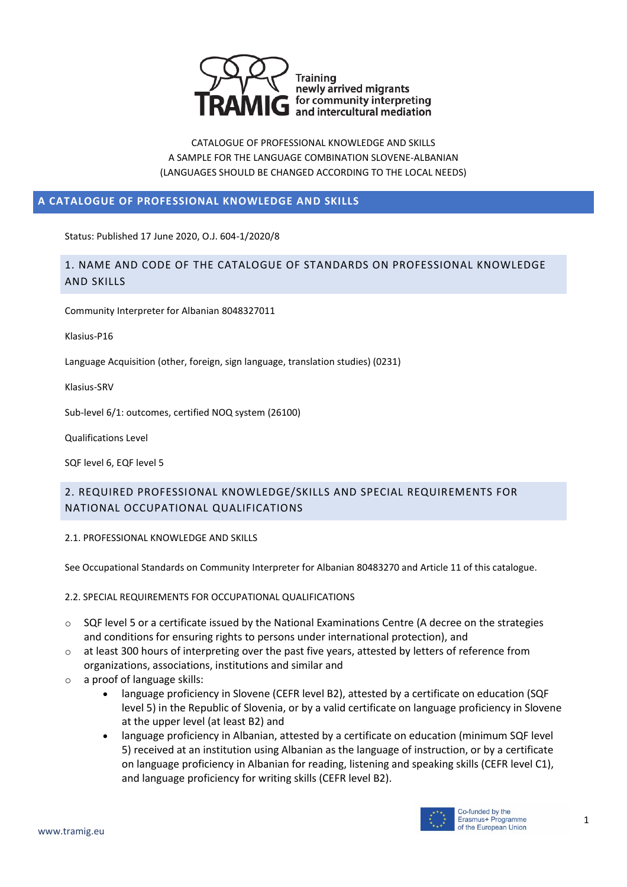

### **A CATALOGUE OF PROFESSIONAL KNOWLEDGE AND SKILLS**

Status: Published 17 June 2020, O.J. 604-1/2020/8

# 1. NAME AND CODE OF THE CATALOGUE OF STANDARDS ON PROFESSIONAL KNOWLEDGE AND SKILLS

Community Interpreter for Albanian 8048327011

Klasius-P16

Language Acquisition (other, foreign, sign language, translation studies) (0231)

Klasius-SRV

Sub-level 6/1: outcomes, certified NOQ system (26100)

Qualifications Level

SQF level 6, EQF level 5

# 2. REQUIRED PROFESSIONAL KNOWLEDGE/SKILLS AND SPECIAL REQUIREMENTS FOR NATIONAL OCCUPATIONAL QUALIFICATIONS

2.1. PROFESSIONAL KNOWLEDGE AND SKILLS

See Occupational Standards on Community Interpreter for Albanian 80483270 and Article 11 of this catalogue.

2.2. SPECIAL REQUIREMENTS FOR OCCUPATIONAL QUALIFICATIONS

- $\circ$  SQF level 5 or a certificate issued by the National Examinations Centre (A decree on the strategies and conditions for ensuring rights to persons under international protection), and
- o at least 300 hours of interpreting over the past five years, attested by letters of reference from organizations, associations, institutions and similar and
- o a proof of language skills:
	- language proficiency in Slovene (CEFR level B2), attested by a certificate on education (SQF level 5) in the Republic of Slovenia, or by a valid certificate on language proficiency in Slovene at the upper level (at least B2) and
	- language proficiency in Albanian, attested by a certificate on education (minimum SQF level 5) received at an institution using Albanian as the language of instruction, or by a certificate on language proficiency in Albanian for reading, listening and speaking skills (CEFR level C1), and language proficiency for writing skills (CEFR level B2).

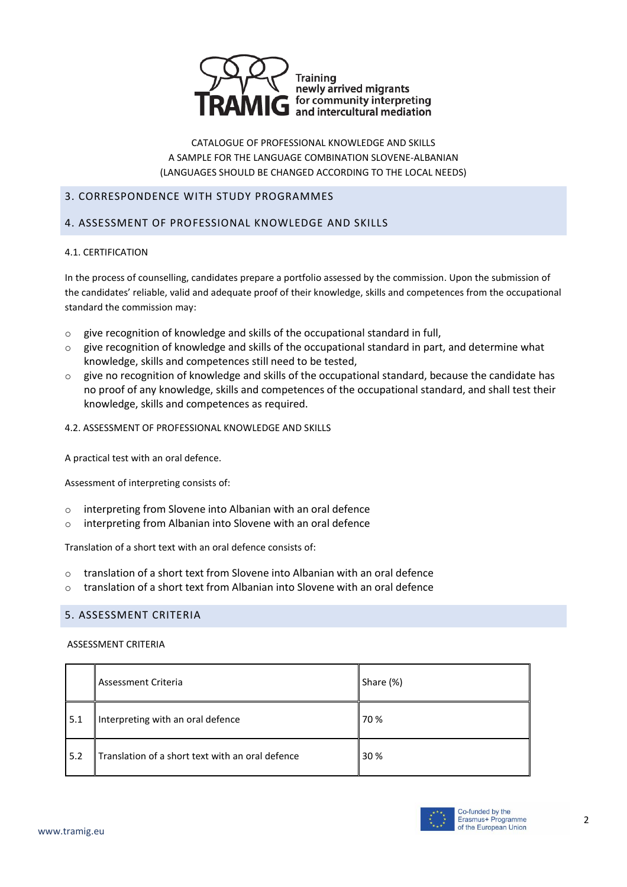

#### 3. CORRESPONDENCE WITH STUDY PROGRAMMES

### 4. ASSESSMENT OF PROFESSIONAL KNOWLEDGE AND SKILLS

#### 4.1. CERTIFICATION

In the process of counselling, candidates prepare a portfolio assessed by the commission. Upon the submission of the candidates' reliable, valid and adequate proof of their knowledge, skills and competences from the occupational standard the commission may:

- o give recognition of knowledge and skills of the occupational standard in full,
- $\circ$  give recognition of knowledge and skills of the occupational standard in part, and determine what knowledge, skills and competences still need to be tested,
- $\circ$  give no recognition of knowledge and skills of the occupational standard, because the candidate has no proof of any knowledge, skills and competences of the occupational standard, and shall test their knowledge, skills and competences as required.
- 4.2. ASSESSMENT OF PROFESSIONAL KNOWLEDGE AND SKILLS

A practical test with an oral defence.

Assessment of interpreting consists of:

- o interpreting from Slovene into Albanian with an oral defence
- o interpreting from Albanian into Slovene with an oral defence

Translation of a short text with an oral defence consists of:

- $\circ$  translation of a short text from Slovene into Albanian with an oral defence
- $\circ$  translation of a short text from Albanian into Slovene with an oral defence

#### 5. ASSESSMENT CRITERIA

#### ASSESSMENT CRITERIA

|     | Assessment Criteria                              | Share (%) |
|-----|--------------------------------------------------|-----------|
| 5.1 | Interpreting with an oral defence                | 70 %      |
| 5.2 | Translation of a short text with an oral defence | 30 %      |

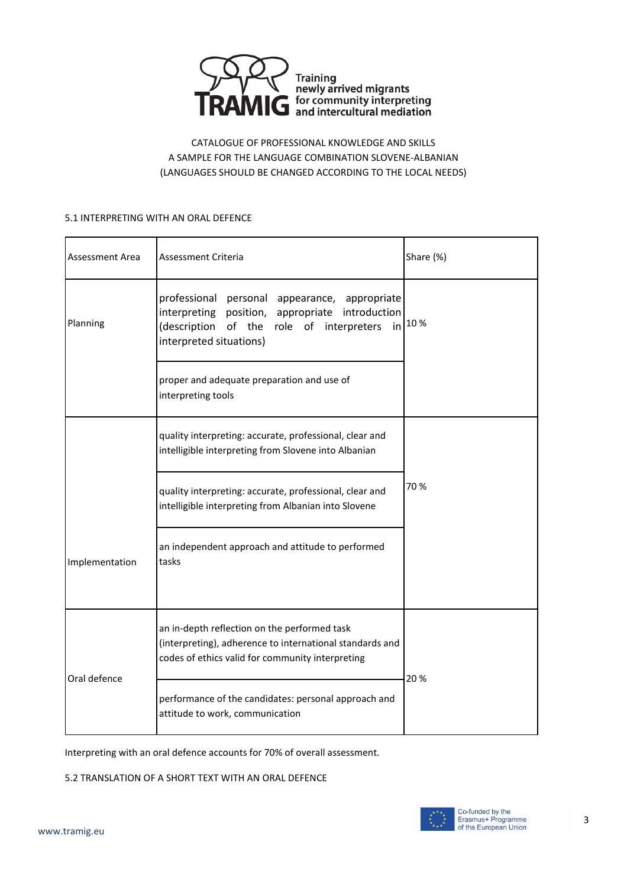

#### 5.1 INTERPRETING WITH AN ORAL DEFENCE

| Assessment Area | Assessment Criteria                                                                                                                                                           | Share (%) |  |
|-----------------|-------------------------------------------------------------------------------------------------------------------------------------------------------------------------------|-----------|--|
| Planning        | professional personal appearance, appropriate<br>interpreting position, appropriate introduction<br>(description of the role of interpreters<br>in<br>interpreted situations) | 10%       |  |
|                 | proper and adequate preparation and use of<br>interpreting tools                                                                                                              |           |  |
|                 | quality interpreting: accurate, professional, clear and<br>intelligible interpreting from Slovene into Albanian                                                               |           |  |
|                 | quality interpreting: accurate, professional, clear and<br>intelligible interpreting from Albanian into Slovene                                                               | 70 %      |  |
| Implementation  | an independent approach and attitude to performed<br>tasks                                                                                                                    |           |  |
| Oral defence    | an in-depth reflection on the performed task<br>(interpreting), adherence to international standards and<br>codes of ethics valid for community interpreting                  | 20%       |  |
|                 | performance of the candidates: personal approach and<br>attitude to work, communication                                                                                       |           |  |

Interpreting with an oral defence accounts for 70% of overall assessment.

5.2 TRANSLATION OF A SHORT TEXT WITH AN ORAL DEFENCE

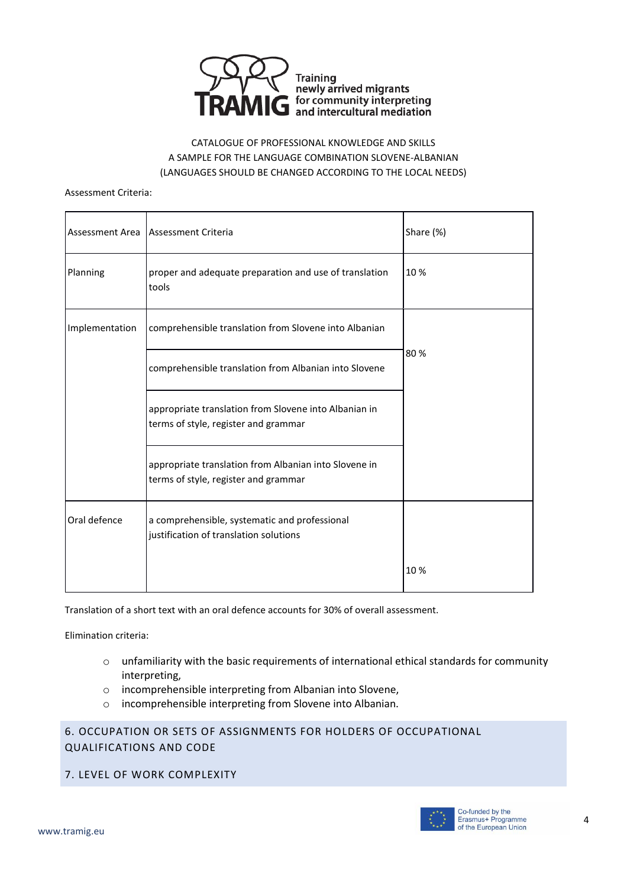

#### Assessment Criteria:

| Assessment Area | Assessment Criteria                                                                           | Share (%) |
|-----------------|-----------------------------------------------------------------------------------------------|-----------|
| Planning        | proper and adequate preparation and use of translation<br>tools                               | 10%       |
| Implementation  | comprehensible translation from Slovene into Albanian                                         |           |
|                 | comprehensible translation from Albanian into Slovene                                         | 80%       |
|                 | appropriate translation from Slovene into Albanian in<br>terms of style, register and grammar |           |
|                 | appropriate translation from Albanian into Slovene in<br>terms of style, register and grammar |           |
| Oral defence    | a comprehensible, systematic and professional<br>justification of translation solutions       |           |
|                 |                                                                                               | 10 %      |

Translation of a short text with an oral defence accounts for 30% of overall assessment.

Elimination criteria:

- o unfamiliarity with the basic requirements of international ethical standards for community interpreting,
- o incomprehensible interpreting from Albanian into Slovene,
- o incomprehensible interpreting from Slovene into Albanian.

# 6. OCCUPATION OR SETS OF ASSIGNMENTS FOR HOLDERS OF OCCUPATIONAL QUALIFICATIONS AND CODE

7. LEVEL OF WORK COMPLEXITY

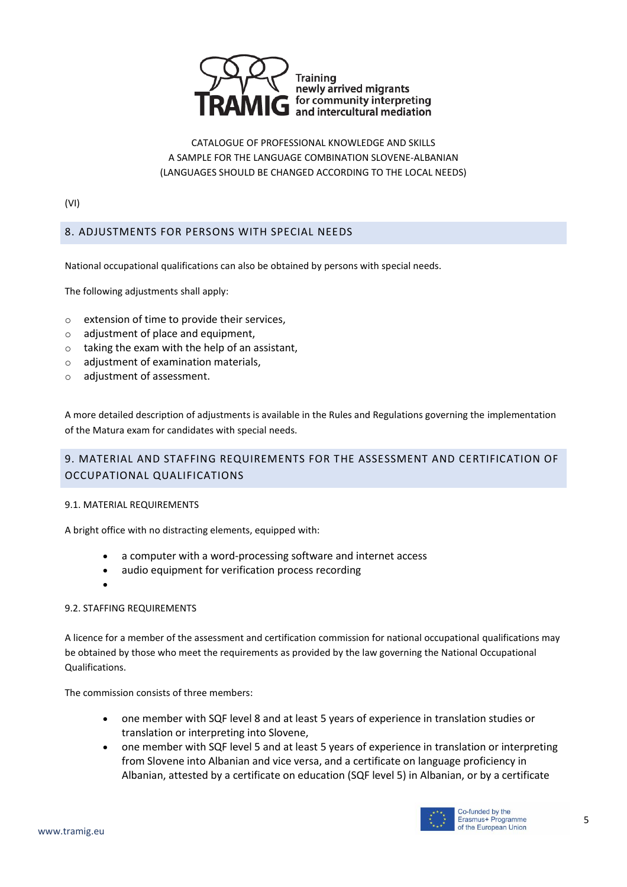

(VI)

# 8. ADJUSTMENTS FOR PERSONS WITH SPECIAL NEEDS

National occupational qualifications can also be obtained by persons with special needs.

The following adjustments shall apply:

- o extension of time to provide their services,
- o adjustment of place and equipment,
- $\circ$  taking the exam with the help of an assistant,
- o adjustment of examination materials,
- o adjustment of assessment.

A more detailed description of adjustments is available in the Rules and Regulations governing the implementation of the Matura exam for candidates with special needs.

# 9. MATERIAL AND STAFFING REQUIREMENTS FOR THE ASSESSMENT AND CERTIFICATION OF OCCUPATIONAL QUALIFICATIONS

#### 9.1. MATERIAL REQUIREMENTS

A bright office with no distracting elements, equipped with:

- a computer with a word-processing software and internet access
- audio equipment for verification process recording
- $\bullet$

### 9.2. STAFFING REQUIREMENTS

A licence for a member of the assessment and certification commission for national occupational qualifications may be obtained by those who meet the requirements as provided by the law governing the National Occupational Qualifications.

The commission consists of three members:

- one member with SQF level 8 and at least 5 years of experience in translation studies or translation or interpreting into Slovene,
- one member with SQF level 5 and at least 5 years of experience in translation or interpreting from Slovene into Albanian and vice versa, and a certificate on language proficiency in Albanian, attested by a certificate on education (SQF level 5) in Albanian, or by a certificate

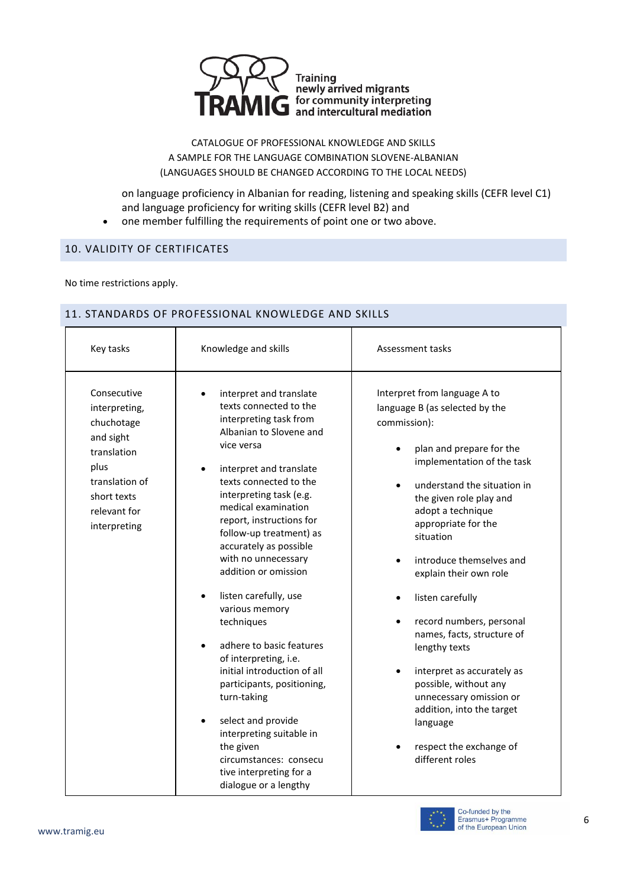

on language proficiency in Albanian for reading, listening and speaking skills (CEFR level C1) and language proficiency for writing skills (CEFR level B2) and one member fulfilling the requirements of point one or two above.

ℸ

# 10. VALIDITY OF CERTIFICATES

No time restrictions apply.

### 11. STANDARDS OF PROFESSIONAL KNOWLEDGE AND SKILLS

| Key tasks                                                                                                                                       | Knowledge and skills                                                                                                                                                                                                                                                                                                                                                                                                                                                                                                                                                                                                                                                                                                         | Assessment tasks                                                                                                                                                                                                                                                                                                                                                                                                                                                                                                                                                                                                                              |
|-------------------------------------------------------------------------------------------------------------------------------------------------|------------------------------------------------------------------------------------------------------------------------------------------------------------------------------------------------------------------------------------------------------------------------------------------------------------------------------------------------------------------------------------------------------------------------------------------------------------------------------------------------------------------------------------------------------------------------------------------------------------------------------------------------------------------------------------------------------------------------------|-----------------------------------------------------------------------------------------------------------------------------------------------------------------------------------------------------------------------------------------------------------------------------------------------------------------------------------------------------------------------------------------------------------------------------------------------------------------------------------------------------------------------------------------------------------------------------------------------------------------------------------------------|
| Consecutive<br>interpreting,<br>chuchotage<br>and sight<br>translation<br>plus<br>translation of<br>short texts<br>relevant for<br>interpreting | interpret and translate<br>texts connected to the<br>interpreting task from<br>Albanian to Slovene and<br>vice versa<br>interpret and translate<br>texts connected to the<br>interpreting task (e.g.<br>medical examination<br>report, instructions for<br>follow-up treatment) as<br>accurately as possible<br>with no unnecessary<br>addition or omission<br>listen carefully, use<br>$\bullet$<br>various memory<br>techniques<br>adhere to basic features<br>of interpreting, i.e.<br>initial introduction of all<br>participants, positioning,<br>turn-taking<br>select and provide<br>$\bullet$<br>interpreting suitable in<br>the given<br>circumstances: consecu<br>tive interpreting for a<br>dialogue or a lengthy | Interpret from language A to<br>language B (as selected by the<br>commission):<br>plan and prepare for the<br>implementation of the task<br>understand the situation in<br>$\bullet$<br>the given role play and<br>adopt a technique<br>appropriate for the<br>situation<br>introduce themselves and<br>explain their own role<br>listen carefully<br>$\bullet$<br>record numbers, personal<br>$\bullet$<br>names, facts, structure of<br>lengthy texts<br>interpret as accurately as<br>$\bullet$<br>possible, without any<br>unnecessary omission or<br>addition, into the target<br>language<br>respect the exchange of<br>different roles |

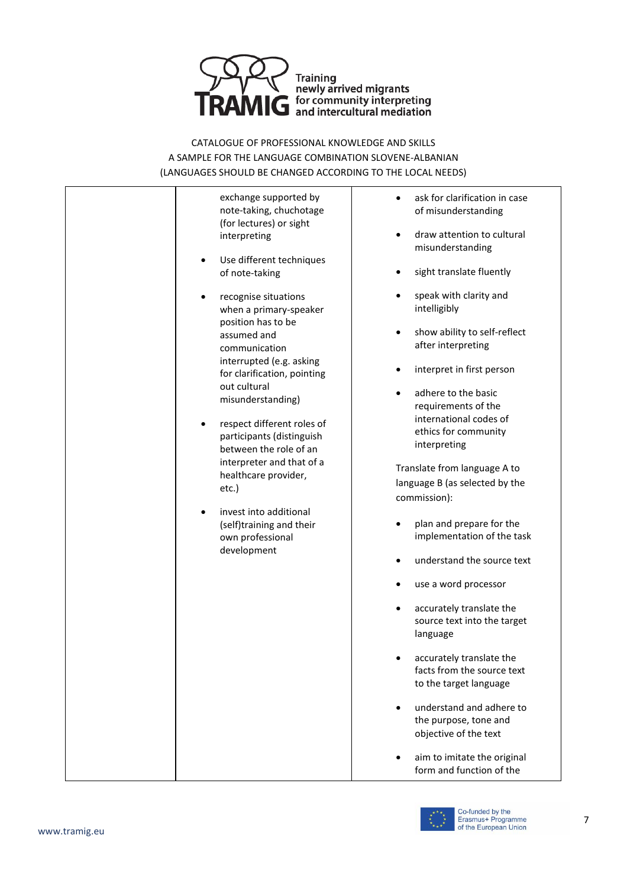

> exchange supported by note-taking, chuchotage (for lectures) or sight interpreting

- Use different techniques of note-taking
- recognise situations when a primary-speaker position has to be assumed and communication interrupted (e.g. asking for clarification, pointing out cultural misunderstanding)
- respect different roles of participants (distinguish between the role of an interpreter and that of a healthcare provider, etc.)
- invest into additional (self)training and their own professional development
- ask for clarification in case of misunderstanding
- draw attention to cultural misunderstanding
- sight translate fluently
- speak with clarity and intelligibly
- show ability to self-reflect after interpreting
- interpret in first person
- adhere to the basic requirements of the international codes of ethics for community interpreting

Translate from language A to language B (as selected by the commission):

- plan and prepare for the implementation of the task
- understand the source text
- use a word processor
- accurately translate the source text into the target language
- accurately translate the facts from the source text to the target language
- understand and adhere to the purpose, tone and objective of the text
- aim to imitate the original form and function of the

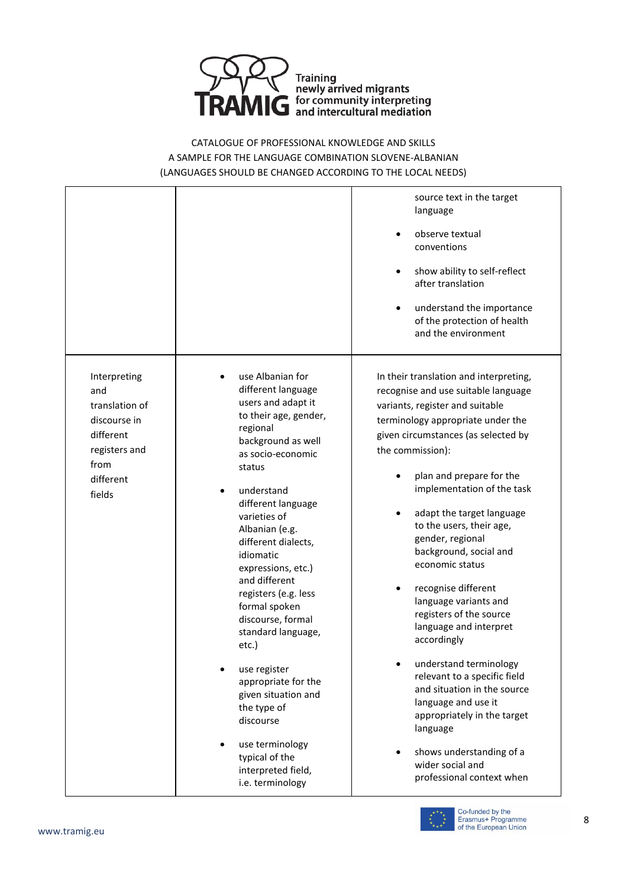

> source text in the target language

- observe textual conventions
- show ability to self-reflect after translation
- understand the importance of the protection of health and the environment

In their translation and interpreting, recognise and use suitable language variants, register and suitable terminology appropriate under the given circumstances (as selected by the commission):

- plan and prepare for the implementation of the task
- adapt the target language to the users, their age, gender, regional background, social and economic status
- recognise different language variants and registers of the source language and interpret accordingly
- understand terminology relevant to a specific field and situation in the source language and use it appropriately in the target language
- shows understanding of a wider social and professional context when



Co-funded by the Erasmus+ Programme of the European Union

Interpreting and translation of discourse in different registers and from different fields

- use Albanian for different language users and adapt it to their age, gender, regional background as well as socio-economic status
- understand different language varieties of Albanian (e.g. different dialects, idiomatic expressions, etc.) and different registers (e.g. less formal spoken discourse, formal standard language, etc.)
- use register appropriate for the given situation and the type of discourse
- use terminology typical of the interpreted field, i.e. terminology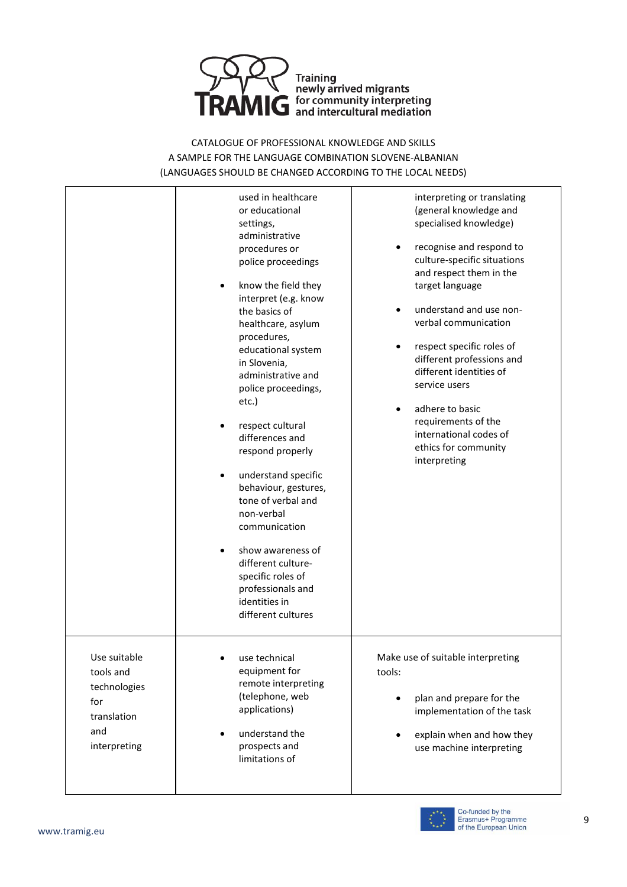

> used in healthcare or educational settings, administrative procedures or police proceedings know the field they interpret (e.g. know the basics of healthcare, asylum procedures, educational system in Slovenia, administrative and police proceedings, etc.) respect cultural differences and respond properly understand specific behaviour, gestures, tone of verbal and non-verbal communication show awareness of

different culturespecific roles of professionals and identities in different cultures

 use technical equipment for remote interpreting (telephone, web applications)

 understand the prospects and limitations of

interpreting or translating (general knowledge and specialised knowledge)

- recognise and respond to culture-specific situations and respect them in the target language
- understand and use nonverbal communication
- respect specific roles of different professions and different identities of service users
- adhere to basic requirements of the international codes of ethics for community interpreting

Make use of suitable interpreting tools:

- plan and prepare for the implementation of the task
- explain when and how they use machine interpreting



Use suitable tools and technologies for translation and interpreting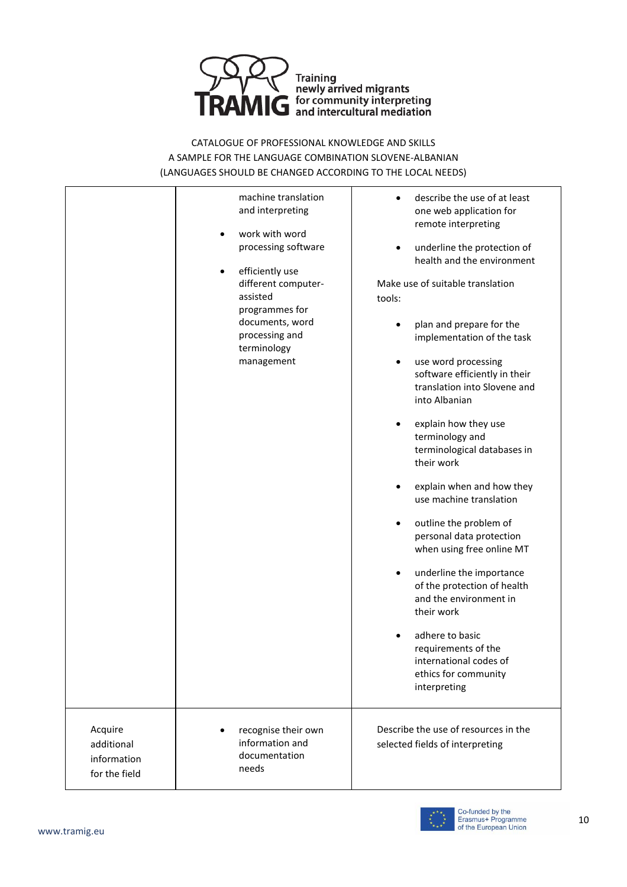

|                                                       | machine translation<br>and interpreting<br>work with word<br>٠<br>processing software<br>efficiently use<br>$\bullet$<br>different computer-<br>assisted<br>programmes for<br>documents, word<br>processing and<br>terminology<br>management | describe the use of at least<br>one web application for<br>remote interpreting<br>underline the protection of<br>$\bullet$<br>health and the environment<br>Make use of suitable translation<br>tools:<br>plan and prepare for the<br>implementation of the task<br>use word processing<br>software efficiently in their<br>translation into Slovene and<br>into Albanian<br>explain how they use<br>terminology and<br>terminological databases in<br>their work<br>explain when and how they<br>use machine translation<br>outline the problem of<br>personal data protection<br>when using free online MT<br>underline the importance<br>$\bullet$<br>of the protection of health<br>and the environment in<br>their work<br>adhere to basic<br>requirements of the<br>international codes of<br>ethics for community<br>interpreting |
|-------------------------------------------------------|----------------------------------------------------------------------------------------------------------------------------------------------------------------------------------------------------------------------------------------------|------------------------------------------------------------------------------------------------------------------------------------------------------------------------------------------------------------------------------------------------------------------------------------------------------------------------------------------------------------------------------------------------------------------------------------------------------------------------------------------------------------------------------------------------------------------------------------------------------------------------------------------------------------------------------------------------------------------------------------------------------------------------------------------------------------------------------------------|
| Acquire<br>additional<br>information<br>for the field | recognise their own<br>information and<br>documentation<br>needs                                                                                                                                                                             | Describe the use of resources in the<br>selected fields of interpreting                                                                                                                                                                                                                                                                                                                                                                                                                                                                                                                                                                                                                                                                                                                                                                  |

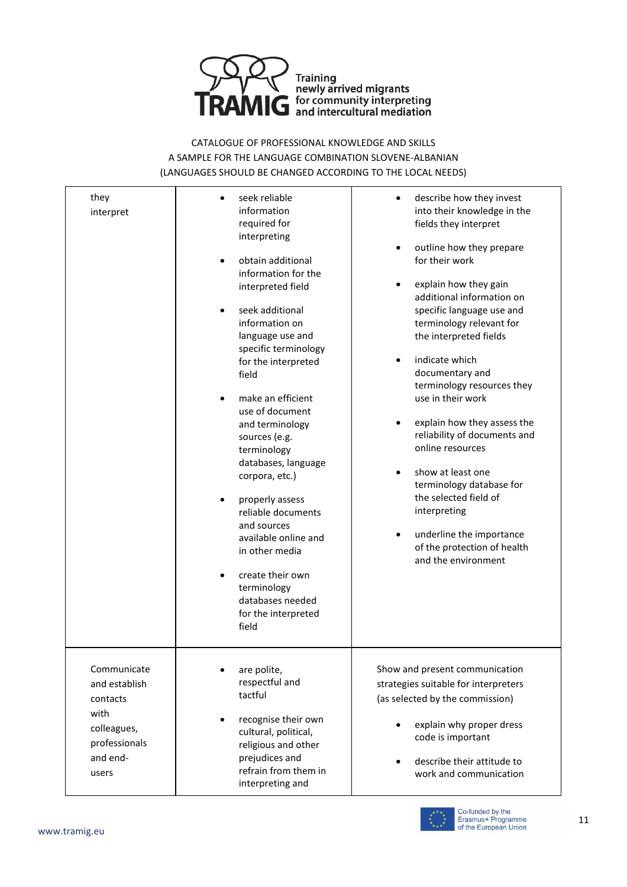

| they<br>interpret                                                                                     | seek reliable<br>information<br>required for<br>interpreting<br>obtain additional<br>information for the<br>interpreted field<br>seek additional<br>information on<br>language use and<br>specific terminology<br>for the interpreted<br>field<br>make an efficient<br>use of document<br>and terminology<br>sources (e.g.<br>terminology<br>databases, language<br>corpora, etc.)<br>properly assess<br>reliable documents<br>and sources<br>available online and<br>in other media<br>create their own<br>terminology<br>databases needed<br>for the interpreted<br>field | describe how they invest<br>into their knowledge in the<br>fields they interpret<br>outline how they prepare<br>for their work<br>explain how they gain<br>additional information on<br>specific language use and<br>terminology relevant for<br>the interpreted fields<br>indicate which<br>documentary and<br>terminology resources they<br>use in their work<br>explain how they assess the<br>reliability of documents and<br>online resources<br>show at least one<br>terminology database for<br>the selected field of<br>interpreting<br>underline the importance<br>of the protection of health<br>and the environment |
|-------------------------------------------------------------------------------------------------------|-----------------------------------------------------------------------------------------------------------------------------------------------------------------------------------------------------------------------------------------------------------------------------------------------------------------------------------------------------------------------------------------------------------------------------------------------------------------------------------------------------------------------------------------------------------------------------|--------------------------------------------------------------------------------------------------------------------------------------------------------------------------------------------------------------------------------------------------------------------------------------------------------------------------------------------------------------------------------------------------------------------------------------------------------------------------------------------------------------------------------------------------------------------------------------------------------------------------------|
| Communicate<br>and establish<br>contacts<br>with<br>colleagues,<br>professionals<br>and end-<br>users | are polite,<br>respectful and<br>tactful<br>recognise their own<br>cultural, political,<br>religious and other<br>prejudices and<br>refrain from them in<br>interpreting and                                                                                                                                                                                                                                                                                                                                                                                                | Show and present communication<br>strategies suitable for interpreters<br>(as selected by the commission)<br>explain why proper dress<br>code is important<br>describe their attitude to<br>work and communication                                                                                                                                                                                                                                                                                                                                                                                                             |

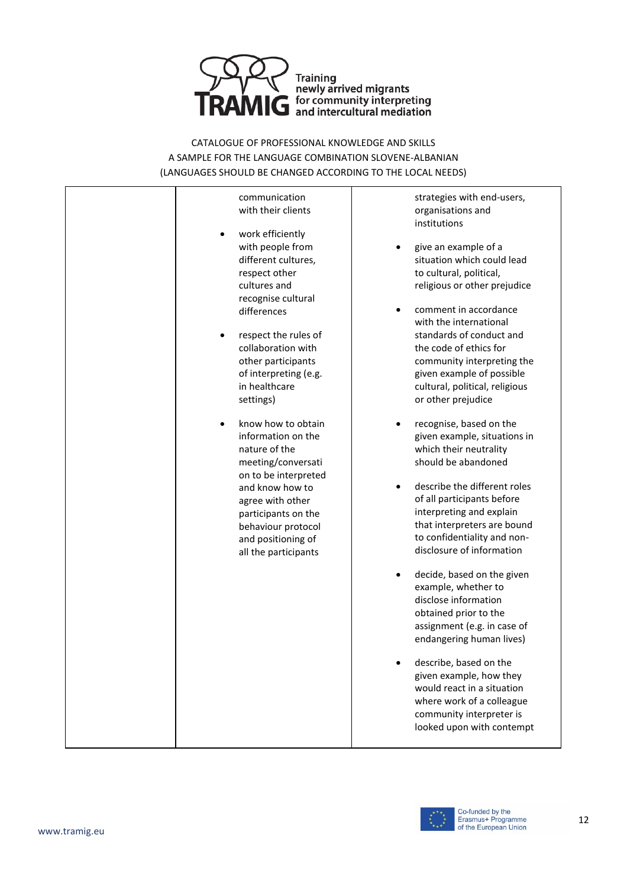



strategies with end-users, organisations and institutions

- give an example of a situation which could lead to cultural, political, religious or other prejudice
- comment in accordance with the international standards of conduct and the code of ethics for community interpreting the given example of possible cultural, political, religious or other prejudice
- recognise, based on the given example, situations in which their neutrality should be abandoned
- describe the different roles of all participants before interpreting and explain that interpreters are bound to confidentiality and nondisclosure of information
- decide, based on the given example, whether to disclose information obtained prior to the assignment (e.g. in case of endangering human lives)
- describe, based on the given example, how they would react in a situation where work of a colleague community interpreter is looked upon with contempt

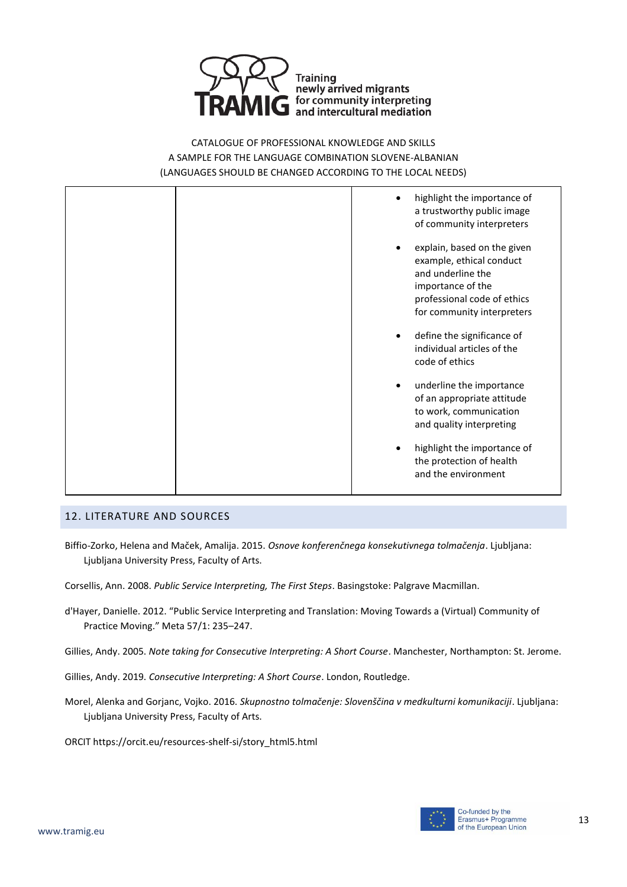



#### 12. LITERATURE AND SOURCES

- Biffio-Zorko, Helena and Maček, Amalija. 2015. *Osnove konferenčnega konsekutivnega tolmačenja*. Ljubljana: Ljubljana University Press, Faculty of Arts.
- Corsellis, Ann. 2008. *Public Service Interpreting, The First Steps*. Basingstoke: Palgrave Macmillan.
- d'Hayer, Danielle. 2012. "Public Service Interpreting and Translation: Moving Towards a (Virtual) Community of Practice Moving." Meta 57/1: 235–247.
- Gillies, Andy. 2005. *Note taking for Consecutive Interpreting: A Short Course*. Manchester, Northampton: St. Jerome.
- Gillies, Andy. 2019. *Consecutive Interpreting: A Short Course*. London, Routledge.
- Morel, Alenka and Gorjanc, Vojko. 2016. *Skupnostno tolmačenje: Slovenščina v medkulturni komunikaciji*. Ljubljana: Ljubljana University Press, Faculty of Arts.
- ORCIT https://orcit.eu/resources-shelf-si/story\_html5.html

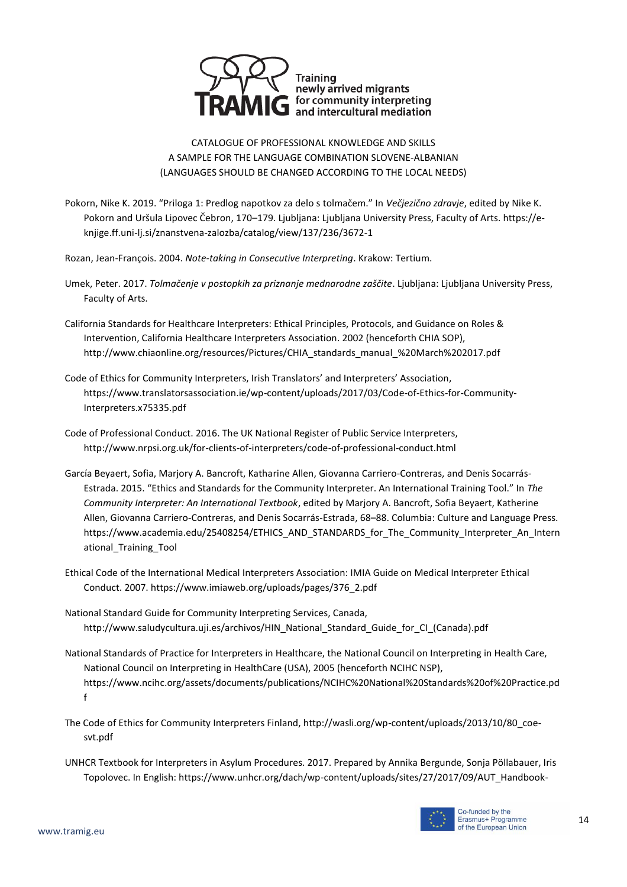

- Pokorn, Nike K. 2019. "Priloga 1: Predlog napotkov za delo s tolmačem." In *Večjezično zdravje*, edited by Nike K. Pokorn and Uršula Lipovec Čebron, 170–179. Ljubljana: Ljubljana University Press, Faculty of Arts. https://eknjige.ff.uni-lj.si/znanstvena-zalozba/catalog/view/137/236/3672-1
- Rozan, Jean-François. 2004. *Note-taking in Consecutive Interpreting*. Krakow: Tertium.
- Umek, Peter. 2017. *Tolmačenje v postopkih za priznanje mednarodne zaščite*. Ljubljana: Ljubljana University Press, Faculty of Arts.
- California Standards for Healthcare Interpreters: Ethical Principles, Protocols, and Guidance on Roles & Intervention, California Healthcare Interpreters Association. 2002 (henceforth CHIA SOP), http://www.chiaonline.org/resources/Pictures/CHIA\_standards\_manual\_%20March%202017.pdf
- Code of Ethics for Community Interpreters, Irish Translators' and Interpreters' Association, https://www.translatorsassociation.ie/wp-content/uploads/2017/03/Code-of-Ethics-for-Community-Interpreters.x75335.pdf
- Code of Professional Conduct. 2016. The UK National Register of Public Service Interpreters, http://www.nrpsi.org.uk/for-clients-of-interpreters/code-of-professional-conduct.html
- García Beyaert, Sofia, Marjory A. Bancroft, Katharine Allen, Giovanna Carriero-Contreras, and Denis Socarrás-Estrada. 2015. "Ethics and Standards for the Community Interpreter. An International Training Tool." In *The Community Interpreter: An International Textbook*, edited by Marjory A. Bancroft, Sofia Beyaert, Katherine Allen, Giovanna Carriero-Contreras, and Denis Socarrás-Estrada, 68–88. Columbia: Culture and Language Press. https://www.academia.edu/25408254/ETHICS\_AND\_STANDARDS\_for\_The\_Community\_Interpreter\_An\_Intern ational\_Training\_Tool
- Ethical Code of the International Medical Interpreters Association: IMIA Guide on Medical Interpreter Ethical Conduct. 2007. https://www.imiaweb.org/uploads/pages/376\_2.pdf
- National Standard Guide for Community Interpreting Services, Canada, http://www.saludycultura.uji.es/archivos/HIN\_National\_Standard\_Guide\_for\_CI\_(Canada).pdf
- National Standards of Practice for Interpreters in Healthcare, the National Council on Interpreting in Health Care, National Council on Interpreting in HealthCare (USA), 2005 (henceforth NCIHC NSP), https://www.ncihc.org/assets/documents/publications/NCIHC%20National%20Standards%20of%20Practice.pd f
- The Code of Ethics for Community Interpreters Finland, http://wasli.org/wp-content/uploads/2013/10/80\_coesvt.pdf
- UNHCR Textbook for Interpreters in Asylum Procedures. 2017. Prepared by Annika Bergunde, Sonja Pöllabauer, Iris Topolovec. In English: https://www.unhcr.org/dach/wp-content/uploads/sites/27/2017/09/AUT\_Handbook-